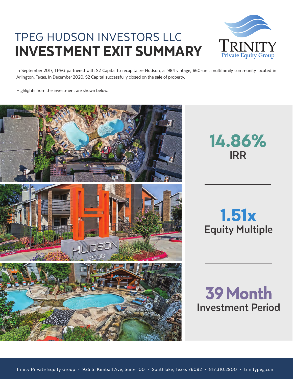## TPEG HUDSON INVESTORS LLC INVESTMENT EXIT SUMMARY



In September 2017, TPEG partnered with S2 Capital to recapitalize Hudson, a 1984 vintage, 660-unit multifamily community located in Arlington, Texas. In December 2020, S2 Capital successfully closed on the sale of property.

Highlights from the investment are shown below.



**14.86% IRR**

# **Equity Multiple 1.51x**

**Investment Period 39 Month**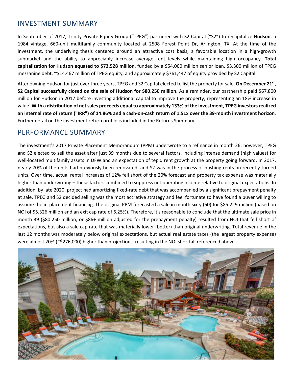#### INVESTMENT SUMMARY

In September of 2017, Trinity Private Equity Group ("TPEG") partnered with S2 Capital ("S2") to recapitalize **Hudson**, a 1984 vintage, 660-unit multifamily community located at 2508 Forest Point Dr, Arlington, TX. At the time of the investment, the underlying thesis centered around an attractive cost basis, a favorable location in a high-growth submarket and the ability to appreciably increase average rent levels while maintaining high occupancy. **Total capitalization for Hudson equated to \$72.528 million**, funded by a \$54.000 million senior loan, \$3.300 million of TPEG mezzanine debt, ~\$14.467 million of TPEG equity, and approximately \$761,447 of equity provided by S2 Capital.

After owning Hudson for just over three years, TPEG and S2 Capital elected to list the property for sale. **On December 21st, S2 Capital successfully closed on the sale of Hudson for \$80.250 million.** As a reminder, our partnership paid \$67.800 million for Hudson in 2017 before investing additional capital to improve the property, representing an 18% increase in value. **With a distribution of net sales proceeds equal to approximately 133% of the investment, TPEG investors realized an internal rate of return ("IRR") of 14.86% and a cash-on-cash return of 1.51x over the 39-month investment horizon**. Further detail on the investment return profile is included in the Returns Summary.

#### PERFORMANCE SUMMARY

The investment's 2017 Private Placement Memorandum (PPM) underwrote to a refinance in month 26; however, TPEG and S2 elected to sell the asset after just 39 months due to several factors, including intense demand (high values) for well-located multifamily assets in DFW and an expectation of tepid rent growth at the property going forward. In 2017, nearly 70% of the units had previously been renovated, and S2 was in the process of pushing rents on recently turned units. Over time, actual rental increases of 12% fell short of the 20% forecast and property tax expense was materially higher than underwriting – these factors combined to suppress net operating income relative to original expectations. In addition, by late 2020, project had amortizing fixed-rate debt that was accompanied by a significant prepayment penalty at sale. TPEG and S2 decided selling was the most accretive strategy and feel fortunate to have found a buyer willing to assume the in-place debt financing. The original PPM forecasted a sale in month sixty (60) for \$85.229 million (based on NOI of \$5.326 million and an exit cap rate of 6.25%). Therefore, it's reasonable to conclude that the ultimate sale price in month 39 (\$80.250 million, or \$86+ million adjusted for the prepayment penalty) resulted from NOI that fell short of expectations, but also a sale cap rate that was materially lower (better) than original underwriting. Total revenue in the last 12 months was moderately below original expectations, but actual real estate taxes (the largest property expense) were almost 20% (~\$276,000) higher than projections, resulting in the NOI shortfall referenced above.